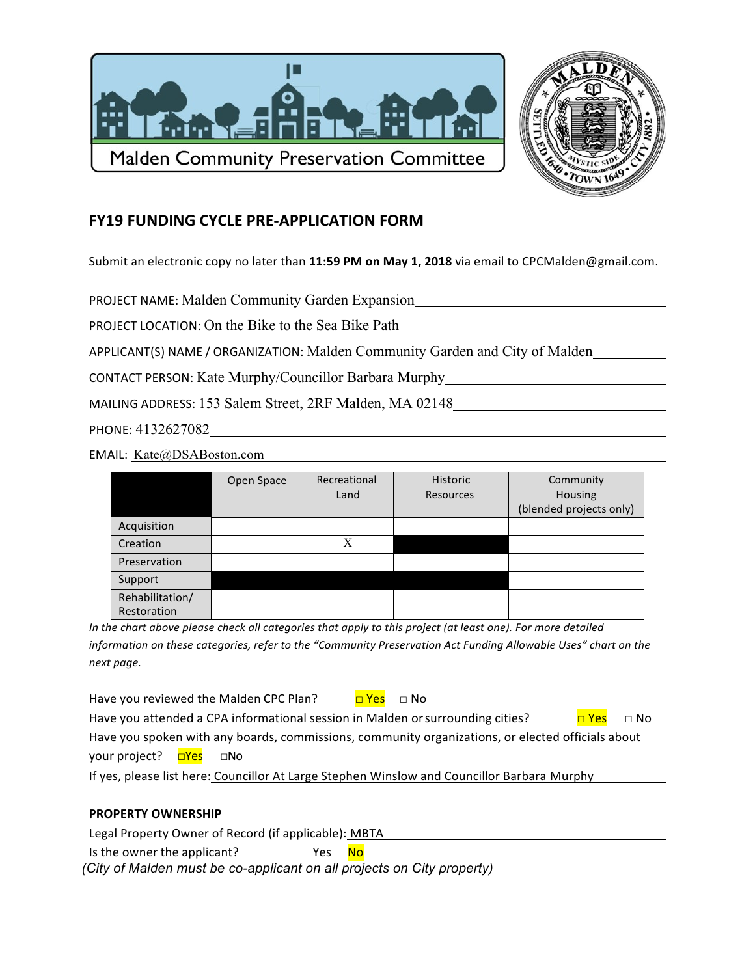



## **FY19 FUNDING CYCLE PRE-APPLICATION FORM**

Submit an electronic copy no later than 11:59 PM on May 1, 2018 via email to CPCMalden@gmail.com.

**PROJECT NAME: Malden Community Garden Expansion** 

PROJECT LOCATION: On the Bike to the Sea Bike Path

APPLICANT(S) NAME / ORGANIZATION: Malden Community Garden and City of Malden

CONTACT PERSON: Kate Murphy/Councillor Barbara Murphy

MAILING ADDRESS: 153 Salem Street, 2RF Malden, MA 02148

PHONE: 4132627082

EMAIL: Kate@DSABoston.com

|                 | Open Space | Recreational | Historic  | Community               |
|-----------------|------------|--------------|-----------|-------------------------|
|                 |            | Land         | Resources | Housing                 |
|                 |            |              |           | (blended projects only) |
| Acquisition     |            |              |           |                         |
| Creation        |            | X            |           |                         |
| Preservation    |            |              |           |                         |
| Support         |            |              |           |                         |
| Rehabilitation/ |            |              |           |                         |
| Restoration     |            |              |           |                         |

In the chart above please check all categories that apply to this project (at least one). For more detailed information on these categories, refer to the "Community Preservation Act Funding Allowable Uses" chart on the next page.

Have you reviewed the Malden CPC Plan? <mark>□ Yes</mark> □ No Have you attended a CPA informational session in Malden or surrounding cities?  $\Box$  No Have you spoken with any boards, commissions, community organizations, or elected officials about your project? DYes  $\square$ No If yes, please list here: Councillor At Large Stephen Winslow and Councillor Barbara Murphy

 $N<sub>O</sub>$ 

## **PROPERTY OWNERSHIP**

Legal Property Owner of Record (if applicable): MBTA

Is the owner the applicant? Yes

(City of Malden must be co-applicant on all projects on City property)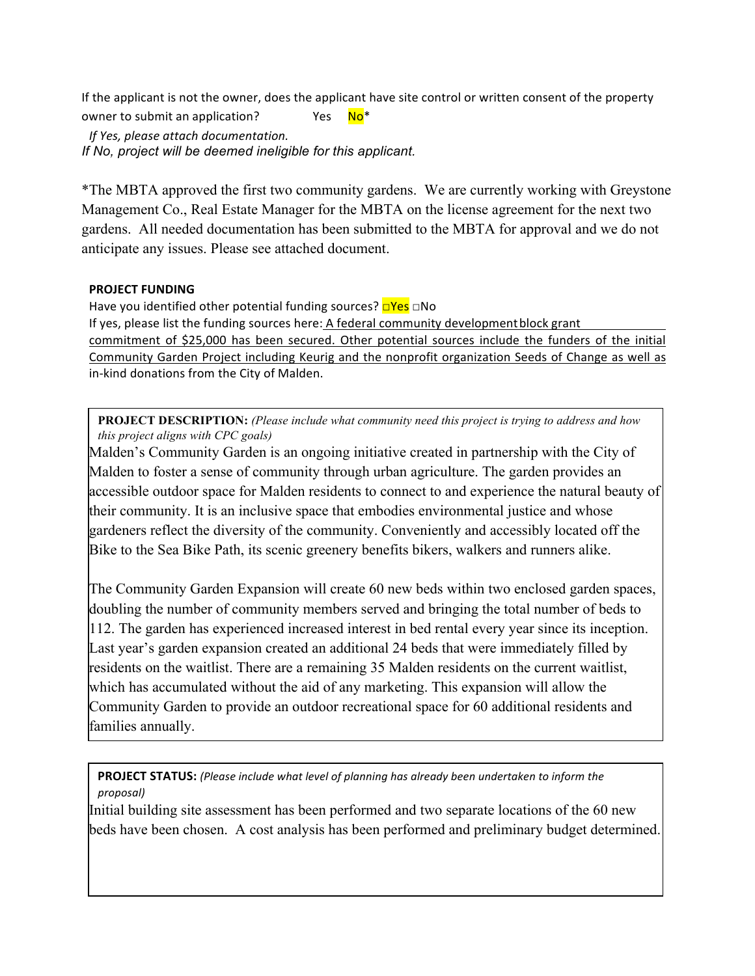If the applicant is not the owner, does the applicant have site control or written consent of the property  $No*$ owner to submit an application? Yes

If Yes, please attach documentation. If No, project will be deemed ineligible for this applicant.

\*The MBTA approved the first two community gardens. We are currently working with Greystone Management Co., Real Estate Manager for the MBTA on the license agreement for the next two gardens. All needed documentation has been submitted to the MBTA for approval and we do not anticipate any issues. Please see attached document.

## **PROJECT FUNDING**

Have you identified other potential funding sources?  $\Box$ Yes  $\Box$ No If yes, please list the funding sources here: A federal community development block grant

commitment of \$25,000 has been secured. Other potential sources include the funders of the initial Community Garden Project including Keurig and the nonprofit organization Seeds of Change as well as in-kind donations from the City of Malden.

PROJECT DESCRIPTION: (Please include what community need this project is trying to address and how this project aligns with CPC goals)

Malden's Community Garden is an ongoing initiative created in partnership with the City of Malden to foster a sense of community through urban agriculture. The garden provides an accessible outdoor space for Malden residents to connect to and experience the natural beauty of their community. It is an inclusive space that embodies environmental justice and whose gardeners reflect the diversity of the community. Conveniently and accessibly located off the Bike to the Sea Bike Path, its scenic greenery benefits bikers, walkers and runners alike.

The Community Garden Expansion will create 60 new beds within two enclosed garden spaces, doubling the number of community members served and bringing the total number of beds to 112. The garden has experienced increased interest in bed rental every year since its inception. Last year's garden expansion created an additional 24 beds that were immediately filled by residents on the waitlist. There are a remaining 35 Malden residents on the current waitlist, which has accumulated without the aid of any marketing. This expansion will allow the Community Garden to provide an outdoor recreational space for 60 additional residents and families annually.

PROJECT STATUS: (Please include what level of planning has already been undertaken to inform the proposal)

Initial building site assessment has been performed and two separate locations of the 60 new beds have been chosen. A cost analysis has been performed and preliminary budget determined.